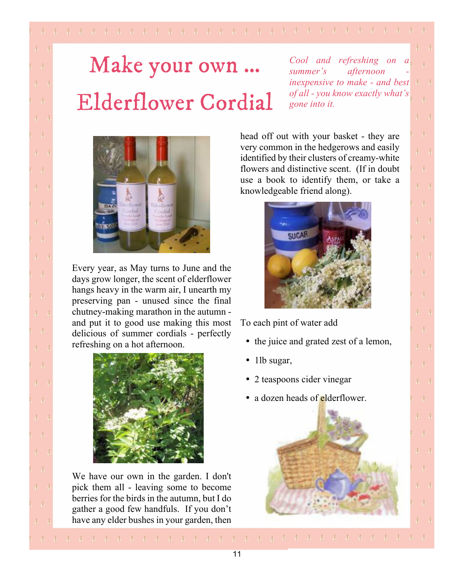## Make your own ... **Elderflower Cordial**

*Cool and refreshing on a summer's afternoon inexpensive to make - and best of all - you know exactly what's gone into it.*

 $\frac{1}{2}$ 

 $\frac{1}{2}$ 

 $\frac{1}{2}$ 

 $\mathcal{L}$ 

 $\frac{1}{2}$ 

 $\frac{1}{2}$ 

 $1 - 1$ 

 $\dot{A}$ 

 $\frac{1}{2}$ 

 $\frac{1}{3}$ 

 $\frac{1}{2}$ 

 $\frac{1}{2}$ 

 $\frac{1}{2}$ 

 $\frac{1}{2}$ 

 $\frac{1}{2}$ 

 $\frac{1}{2}$ 

 $\frac{1}{2}$ 

 $\frac{1}{2}$   $\frac{1}{2}$ 

 $\frac{1}{2}$ 

 $\frac{1}{2}$ 



 $\sqrt{ }$ 

 $\mathbf{d}$ 

 $\mathbf{d}$ 

 $\ddot{\phantom{1}}$ 

 $\mathbf{A}$ 

 $\ddot{v}$ 

 $\frac{1}{3}$ 

 $\mathcal{A}$ 

 $\ddot{V}$ 

 $\ddot{r}$ 

 $\ddot{\bullet}$ 

 $\frac{1}{3}$ 

 $\ddot{d}$ 

 $\ddot{\Phi}$ 

 $\ddot{a}$ 

 $\mathcal{L}$ 

 $\mathbf{d}$ 

 $\ddot{\phantom{a}}$ 

 $\ddot{ }$ 

 $\frac{1}{2}$ 

 $\mathcal{A}$ 

 $\ddot{ }$ 

 $\sqrt{2}$ 

 $\mathbf{A}$ 

Every year, as May turns to June and the days grow longer, the scent of elderflower hangs heavy in the warm air, I unearth my preserving pan - unused since the final chutney-making marathon in the autumn and put it to good use making this most delicious of summer cordials - perfectly refreshing on a hot afternoon.



We have our own in the garden. I don't pick them all - leaving some to become berries for the birds in the autumn, but I do gather a good few handfuls. If you don't have any elder bushes in your garden, then head off out with your basket - they are very common in the hedgerows and easily identified by their clusters of creamy-white flowers and distinctive scent. (If in doubt use a book to identify them, or take a knowledgeable friend along).



To each pint of water add

- the juice and grated zest of a lemon,
- $\bullet$  1lb sugar,
- 2 teaspoons cider vinegar
- a dozen heads of elderflower.